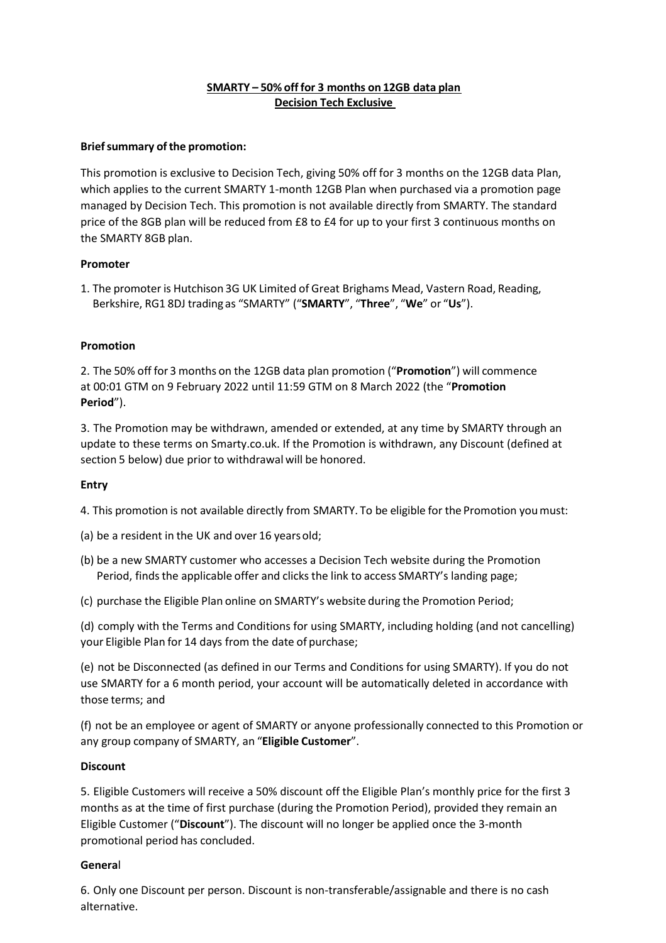# **SMARTY – 50% off for 3 months on 12GB data plan Decision Tech Exclusive**

## **Brief summary of the promotion:**

This promotion is exclusive to Decision Tech, giving 50% off for 3 months on the 12GB data Plan, which applies to the current SMARTY 1-month 12GB Plan when purchased via a promotion page managed by Decision Tech. This promotion is not available directly from SMARTY. The standard price of the 8GB plan will be reduced from £8 to £4 for up to your first 3 continuous months on the SMARTY 8GB plan.

### **Promoter**

1. The promoter is Hutchison 3G UK Limited of Great Brighams Mead, Vastern Road, Reading, Berkshire, RG1 8DJ trading as "SMARTY" ("**SMARTY**", "**Three**", "**We**" or "**Us**").

### **Promotion**

2. The 50% off for 3 months on the 12GB data plan promotion ("**Promotion**") will commence at 00:01 GTM on 9 February 2022 until 11:59 GTM on 8 March 2022 (the "**Promotion Period**").

3. The Promotion may be withdrawn, amended or extended, at any time by SMARTY through an update to these terms on Smarty.co.uk. If the Promotion is withdrawn, any Discount (defined at section 5 below) due prior to withdrawal will be honored.

### **Entry**

4. This promotion is not available directly from SMARTY. To be eligible for the Promotion youmust:

(a) be a resident in the UK and over 16 yearsold;

- (b) be a new SMARTY customer who accesses a Decision Tech website during the Promotion Period, finds the applicable offer and clicks the link to access SMARTY's landing page;
- (c) purchase the Eligible Plan online on SMARTY's website during the Promotion Period;

(d) comply with the Terms and Conditions for using SMARTY, including holding (and not cancelling) your Eligible Plan for 14 days from the date of purchase;

(e) not be Disconnected (as defined in our Terms and Conditions for using SMARTY). If you do not use SMARTY for a 6 month period, your account will be automatically deleted in accordance with those terms; and

(f) not be an employee or agent of SMARTY or anyone professionally connected to this Promotion or any group company of SMARTY, an "**Eligible Customer**".

### **Discount**

5. Eligible Customers will receive a 50% discount off the Eligible Plan's monthly price for the first 3 months as at the time of first purchase (during the Promotion Period), provided they remain an Eligible Customer ("**Discount**"). The discount will no longer be applied once the 3-month promotional period has concluded.

### **Genera**l

6. Only one Discount per person. Discount is non-transferable/assignable and there is no cash alternative.